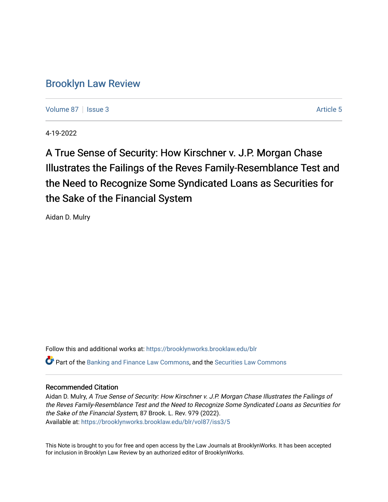# [Brooklyn Law Review](https://brooklynworks.brooklaw.edu/blr)

[Volume 87](https://brooklynworks.brooklaw.edu/blr/vol87) | [Issue 3](https://brooklynworks.brooklaw.edu/blr/vol87/iss3) Article 5

4-19-2022

A True Sense of Security: How Kirschner v. J.P. Morgan Chase Illustrates the Failings of the Reves Family-Resemblance Test and the Need to Recognize Some Syndicated Loans as Securities for the Sake of the Financial System

Aidan D. Mulry

Follow this and additional works at: [https://brooklynworks.brooklaw.edu/blr](https://brooklynworks.brooklaw.edu/blr?utm_source=brooklynworks.brooklaw.edu%2Fblr%2Fvol87%2Fiss3%2F5&utm_medium=PDF&utm_campaign=PDFCoverPages) 

Part of the [Banking and Finance Law Commons,](https://network.bepress.com/hgg/discipline/833?utm_source=brooklynworks.brooklaw.edu%2Fblr%2Fvol87%2Fiss3%2F5&utm_medium=PDF&utm_campaign=PDFCoverPages) and the [Securities Law Commons](https://network.bepress.com/hgg/discipline/619?utm_source=brooklynworks.brooklaw.edu%2Fblr%2Fvol87%2Fiss3%2F5&utm_medium=PDF&utm_campaign=PDFCoverPages)

## Recommended Citation

Aidan D. Mulry, A True Sense of Security: How Kirschner v. J.P. Morgan Chase Illustrates the Failings of the Reves Family-Resemblance Test and the Need to Recognize Some Syndicated Loans as Securities for the Sake of the Financial System, 87 Brook. L. Rev. 979 (2022). Available at: [https://brooklynworks.brooklaw.edu/blr/vol87/iss3/5](https://brooklynworks.brooklaw.edu/blr/vol87/iss3/5?utm_source=brooklynworks.brooklaw.edu%2Fblr%2Fvol87%2Fiss3%2F5&utm_medium=PDF&utm_campaign=PDFCoverPages)

This Note is brought to you for free and open access by the Law Journals at BrooklynWorks. It has been accepted for inclusion in Brooklyn Law Review by an authorized editor of BrooklynWorks.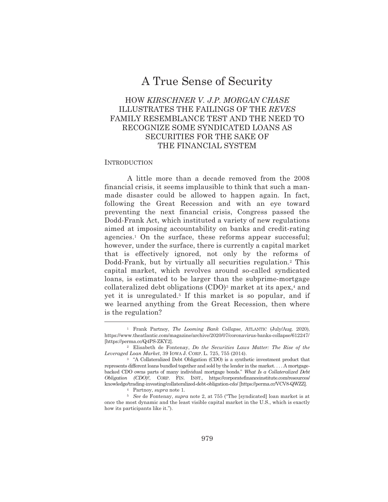# A True Sense of Security

## HOW KIRSCHNER V. J.P. MORGAN CHASE ILLUSTRATES THE FAILINGS OF THE REVES FAMILY RESEMBLANCE TEST AND THE NEED TO RECOGNIZE SOME SYNDICATED LOANS AS **SECURITIES FOR THE SAKE OF** THE FINANCIAL SYSTEM

## **INTRODUCTION**

A little more than a decade removed from the 2008 financial crisis, it seems implausible to think that such a manmade disaster could be allowed to happen again. In fact, following the Great Recession and with an eye toward preventing the next financial crisis, Congress passed the Dodd-Frank Act, which instituted a variety of new regulations aimed at imposing accountability on banks and credit-rating agencies.<sup>1</sup> On the surface, these reforms appear successful; however, under the surface, there is currently a capital market that is effectively ignored, not only by the reforms of Dodd-Frank, but by virtually all securities regulation.<sup>2</sup> This capital market, which revolves around so-called syndicated loans, is estimated to be larger than the subprime-mortgage collateralized debt obligations (CDO)<sup>3</sup> market at its apex,<sup>4</sup> and yet it is unregulated.<sup>5</sup> If this market is so popular, and if we learned anything from the Great Recession, then where is the regulation?

<sup>4</sup> Partnoy, *supra* note 1.

<sup>5</sup> See de Fontenay, *supra* note 2, at 755 ("The [syndicated] loan market is at once the most dynamic and the least visible capital market in the U.S., which is exactly how its participants like it.").

<sup>&</sup>lt;sup>1</sup> Frank Partnoy, *The Looming Bank Collapse*, ATLANTIC (July/Aug. 2020), https://www.theatlantic.com/magazine/archive/2020/07/coronavirus-banks-collapse/612247/ [https://perma.cc/Q4PS-ZKY2].

<sup>&</sup>lt;sup>2</sup> Elisabeth de Fontenay, Do the Securities Laws Matter: The Rise of the Leveraged Loan Market, 39 IOWA J. CORP. L. 725, 755 (2014).

<sup>&</sup>lt;sup>3</sup> "A Collateralized Debt Obligation (CDO) is a synthetic investment product that represents different loans bundled together and sold by the lender in the market.... A mortgagebacked CDO owns parts of many individual mortgage bonds." What Is a Collateralized Debt Obligation (CDO)?, CORP. FIN. INST., https://corporatefinanceinstitute.com/resources/ knowledge/trading-investing/collateralized-debt-obligation-cdo/ [https://perma.cc/VCV8-QWZZ].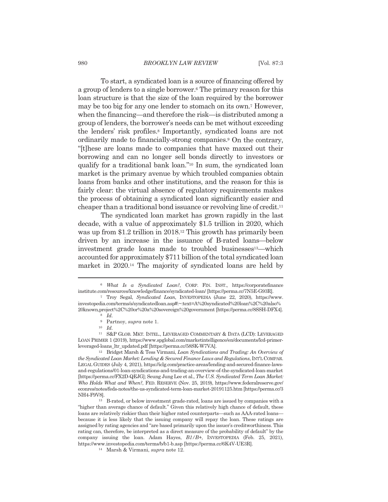## **BROOKLYN LAW REVIEW**

To start, a syndicated loan is a source of financing offered by a group of lenders to a single borrower.<sup>6</sup> The primary reason for this loan structure is that the size of the loan required by the borrower may be too big for any one lender to stomach on its own.<sup>7</sup> However, when the financing—and therefore the risk—is distributed among a group of lenders, the borrower's needs can be met without exceeding the lenders' risk profiles.<sup>8</sup> Importantly, syndicated loans are not ordinarily made to financially-strong companies.<sup>9</sup> On the contrary, "[t] these are loans made to companies that have maxed out their borrowing and can no longer sell bonds directly to investors or qualify for a traditional bank loan."<sup>10</sup> In sum, the syndicated loan market is the primary avenue by which troubled companies obtain loans from banks and other institutions, and the reason for this is fairly clear: the virtual absence of regulatory requirements makes the process of obtaining a syndicated loan significantly easier and cheaper than a traditional bond issuance or revolving line of credit.<sup>11</sup>

The syndicated loan market has grown rapidly in the last decade, with a value of approximately \$1.5 trillion in 2020, which was up from \$1.2 trillion in 2018.<sup>12</sup> This growth has primarily been driven by an increase in the issuance of B-rated loans—below investment grade loans made to troubled businesses<sup>13</sup>—which accounted for approximately \$711 billion of the total syndicated loan market in 2020.<sup>14</sup> The majority of syndicated loans are held by

<sup>12</sup> Bridget Marsh & Tess Virmani, Loan Syndications and Trading: An Overview of the Syndicated Loan Market: Lending & Secured Finance Laws and Regulations, INTL COMPAR. LEGAL GUIDES (July 4, 2021), https://iclg.com/practice-areas/lending-and-secured-finance-lawsand-regulations/01-loan-syndications-and-trading-an-overview-of-the-syndicated-loan-market [https://perma.cc/FX2D-QEJG]; Seung Jung Lee et al., The U.S. Syndicated Term Loan Market: Who Holds What and When?, FED. RESERVE (Nov. 25, 2019), https://www.federalreserve.gov/ econres/notes/feds-notes/the-us-syndicated-term-loan-market-20191125.htm [https://perma.cc/3 NH4-F9V8].

 $6$  What Is a Syndicated Loan?, CORP. FIN. INST., https://corporatefinance institute.com/resources/knowledge/finance/syndicated-loan/ [https://perma.cc/7N5E-G93R].

<sup>&</sup>lt;sup>7</sup> Troy Segal, Syndicated Loan, INVESTOPEDIA (June 22, 2020), https://www. investopedia.com/terms/s/syndicatedloan.asp#:~:text=A%20syndicated%20loan%2C%20also% 20known,project%2C%20or%20a%20sovereign%20government [https://perma.cc/8SSH-DFX4].  $8 \; Id.$ 

 $^9$  Partnoy,  $supra$  note 1.

 $10$  *Id.* 

<sup>&</sup>lt;sup>11</sup> S&P GLOB. MKT. INTEL., LEVERAGED COMMENTARY & DATA (LCD): LEVERAGED LOAN PRIMER 1 (2019), https://www.spglobal.com/marketintelligence/en/documents/lcd-primerleveraged-loans\_ltr\_updated.pdf [https://perma.cc/58SK-W7VA].

<sup>&</sup>lt;sup>13</sup> B-rated, or below investment grade-rated, loans are issued by companies with a "higher than average chance of default." Given this relatively high chance of default, these loans are relatively riskier than their higher rated counterparts—such as AAA-rated loans because it is less likely that the issuing company will repay the loan. These ratings are assigned by rating agencies and "are based primarily upon the issuer's creditworthiness. This rating can, therefore, be interpreted as a direct measure of the probability of default" by the company issuing the loan. Adam Hayes,  $B1/B+$ , INVESTOPEDIA (Feb. 25, 2021), https://www.investopedia.com/terms/b/b1-b.asp [https://perma.cc/6K4V-UE3R].

<sup>&</sup>lt;sup>14</sup> Marsh & Virmani, *supra* note 12.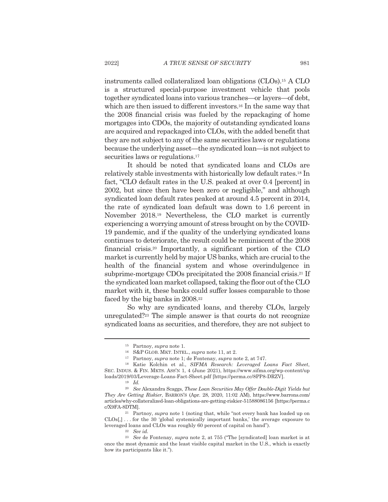instruments called collateralized loan obligations (CLOs).<sup>15</sup> A CLO is a structured special-purpose investment vehicle that pools together syndicated loans into various tranches—or layers—of debt, which are then issued to different investors.<sup>16</sup> In the same way that the 2008 financial crisis was fueled by the repackaging of home mortgages into CDOs, the majority of outstanding syndicated loans are acquired and repackaged into CLOs, with the added benefit that they are not subject to any of the same securities laws or regulations because the underlying asset—the syndicated loan—is not subject to securities laws or regulations.<sup>17</sup>

It should be noted that syndicated loans and CLOs are relatively stable investments with historically low default rates.<sup>18</sup> In fact, "CLO default rates in the U.S. peaked at over 0.4 [percent] in 2002, but since then have been zero or negligible," and although syndicated loan default rates peaked at around 4.5 percent in 2014, the rate of syndicated loan default was down to 1.6 percent in November 2018.<sup>19</sup> Nevertheless, the CLO market is currently experiencing a worrying amount of stress brought on by the COVID-19 pandemic, and if the quality of the underlying syndicated loans continues to deteriorate, the result could be reminiscent of the 2008 financial crisis.<sup>20</sup> Importantly, a significant portion of the CLO market is currently held by major US banks, which are crucial to the health of the financial system and whose overindulgence in subprime-mortgage CDOs precipitated the 2008 financial crisis.<sup>21</sup> If the syndicated loan market collapsed, taking the floor out of the CLO market with it, these banks could suffer losses comparable to those faced by the big banks in 2008.<sup>22</sup>

So why are syndicated loans, and thereby CLOs, largely unregulated?<sup>23</sup> The simple answer is that courts do not recognize syndicated loans as securities, and therefore, they are not subject to

<sup>&</sup>lt;sup>15</sup> Partnoy, *supra* note 1.

 $^{16}~$  S&P GLOB. MKT. INTEL.,  $supra$  note 11, at 2.

<sup>&</sup>lt;sup>17</sup> Partnoy, *supra* note 1; de Fontenay, *supra* note 2, at 747.

<sup>&</sup>lt;sup>18</sup> Katie Kolchin et al., SIFMA Research: Leveraged Loans Fact Sheet, SEC. INDUS. & FIN. MKTS. ASS'N 1, 4 (June 2021), https://www.sifma.org/wp-content/up loads/2019/03/Leverage-Loans-Fact-Sheet.pdf [https://perma.cc/8PP8-DRZV].

 $19 \quad Id.$ 

<sup>&</sup>lt;sup>20</sup> See Alexandra Scaggs, These Loan Securities May Offer Double-Digit Yields but They Are Getting Riskier, BARRON'S (Apr. 28, 2020, 11:02 AM), https://www.barrons.com/ articles/why-collateralized-loan-obligations-are-getting-riskier-51588086156 [https://perma.c c/X9FA-8DTML

<sup>&</sup>lt;sup>21</sup> Partnoy, *supra* note 1 (noting that, while "not every bank has loaded up on  $CLOs[,]$ ... for the 30 'global systemically important banks,' the average exposure to leveraged loans and CLOs was roughly 60 percent of capital on hand").

 $22$  See id.

<sup>&</sup>lt;sup>23</sup> See de Fontenay, *supra* note 2, at 755 ("The [syndicated] loan market is at once the most dynamic and the least visible capital market in the U.S., which is exactly how its participants like it.").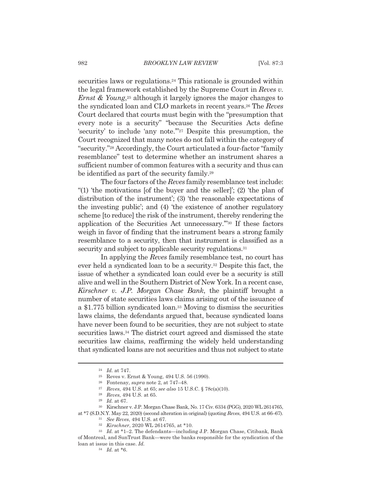securities laws or regulations.<sup>24</sup> This rationale is grounded within the legal framework established by the Supreme Court in Reves v. *Ernst & Young*<sup>25</sup> although it largely ignores the major changes to the syndicated loan and CLO markets in recent years.<sup>26</sup> The Reves Court declared that courts must begin with the "presumption that every note is a security" "because the Securities Acts define 'security' to include 'any note."<sup>27</sup> Despite this presumption, the Court recognized that many notes do not fall within the category of "security."<sup>28</sup> Accordingly, the Court articulated a four-factor "family" resemblance" test to determine whether an instrument shares a sufficient number of common features with a security and thus can be identified as part of the security family.<sup>29</sup>

The four factors of the Reves family resemblance test include: "(1) 'the motivations [of the buyer and the seller]'; (2) 'the plan of distribution of the instrument'; (3) 'the reasonable expectations of the investing public'; and (4) 'the existence of another regulatory scheme [to reduce] the risk of the instrument, thereby rendering the application of the Securities Act unnecessary."<sup>30</sup> If these factors weigh in favor of finding that the instrument bears a strong family resemblance to a security, then that instrument is classified as a security and subject to applicable security regulations.<sup>31</sup>

In applying the *Reves* family resemblance test, no court has ever held a syndicated loan to be a security.<sup>32</sup> Despite this fact, the issue of whether a syndicated loan could ever be a security is still alive and well in the Southern District of New York. In a recent case, Kirschner v. J.P. Morgan Chase Bank, the plaintiff brought a number of state securities laws claims arising out of the issuance of a \$1.775 billion syndicated loan.<sup>33</sup> Moving to dismiss the securities laws claims, the defendants argued that, because syndicated loans have never been found to be securities, they are not subject to state securities laws.<sup>34</sup> The district court agreed and dismissed the state securities law claims, reaffirming the widely held understanding that syndicated loans are not securities and thus not subject to state

30 Kirschner v. J.P. Morgan Chase Bank, No. 17 Civ. 6334 (PGG), 2020 WL 2614765, at \*7 (S.D.N.Y. May 22, 2020) (second alteration in original) (quoting Reves, 494 U.S. at 66–67).

 $24$  *Id.* at 747.

<sup>&</sup>lt;sup>25</sup> Reves v. Ernst & Young, 494 U.S. 56 (1990).

<sup>&</sup>lt;sup>26</sup> Fontenay, *supra* note 2, at  $747-48$ .

 $^{27}~$  Reves, 494 U.S. at 65; see also 15 U.S.C. § 78c(a)(10).

<sup>&</sup>lt;sup>28</sup> Reves, 494 U.S. at 65.

 $29$  *Id.* at 67.

<sup>&</sup>lt;sup>31</sup> See Reves, 494 U.S. at 67.

<sup>&</sup>lt;sup>32</sup> Kirschner, 2020 WL 2614765, at \*10.

<sup>33</sup> Id. at \*1-2. The defendants—including J.P. Morgan Chase, Citibank, Bank of Montreal, and SunTrust Bank—were the banks responsible for the syndication of the loan at issue in this case. Id.

 $34$  *Id.* at \*6.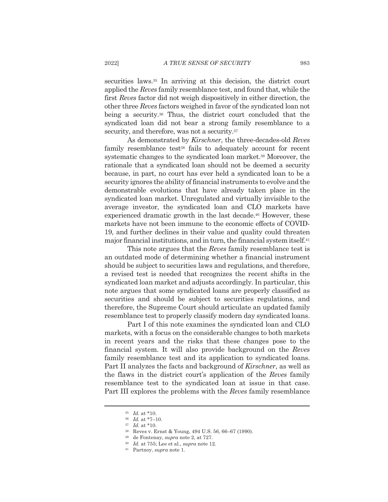securities laws.<sup>35</sup> In arriving at this decision, the district court applied the Reves family resemblance test, and found that, while the first Reves factor did not weigh dispositively in either direction, the other three Reves factors weighed in favor of the syndicated loan not being a security.<sup>36</sup> Thus, the district court concluded that the syndicated loan did not bear a strong family resemblance to a security, and therefore, was not a security.<sup>37</sup>

As demonstrated by Kirschner, the three-decades-old Reves family resemblance test<sup>38</sup> fails to adequately account for recent systematic changes to the syndicated loan market.<sup>39</sup> Moreover, the rationale that a syndicated loan should not be deemed a security because, in part, no court has ever held a syndicated loan to be a security ignores the ability of financial instruments to evolve and the demonstrable evolutions that have already taken place in the syndicated loan market. Unregulated and virtually invisible to the average investor, the syndicated loan and CLO markets have experienced dramatic growth in the last decade.<sup>40</sup> However, these markets have not been immune to the economic effects of COVID-19, and further declines in their value and quality could threaten major financial institutions, and in turn, the financial system itself.<sup>41</sup>

This note argues that the Reves family resemblance test is an outdated mode of determining whether a financial instrument should be subject to securities laws and regulations, and therefore, a revised test is needed that recognizes the recent shifts in the syndicated loan market and adjusts accordingly. In particular, this note argues that some syndicated loans are properly classified as securities and should be subject to securities regulations, and therefore, the Supreme Court should articulate an updated family resemblance test to properly classify modern day syndicated loans.

Part I of this note examines the syndicated loan and CLO markets, with a focus on the considerable changes to both markets in recent years and the risks that these changes pose to the financial system. It will also provide background on the Reves family resemblance test and its application to syndicated loans. Part II analyzes the facts and background of Kirschner, as well as the flaws in the district court's application of the Reves family resemblance test to the syndicated loan at issue in that case. Part III explores the problems with the Reves family resemblance

<sup>38</sup> Reves v. Ernst & Young, 494 U.S. 56, 66–67 (1990).

 $35$  *Id.* at \*10.

 $36$  *Id.* at \*7-10.

 $37$  *Id.* at \*10.

<sup>&</sup>lt;sup>39</sup> de Fontenay, *supra* note 2, at 727.

 $^{40}$  *Id.* at 755; Lee et al., *supra* note 12.

<sup>&</sup>lt;sup>41</sup> Partnoy, *supra* note 1.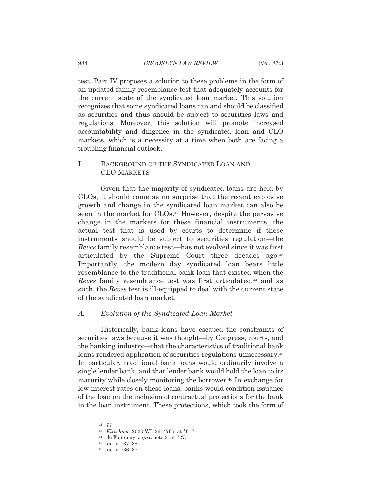test. Part IV proposes a solution to these problems in the form of an updated family resemblance test that adequately accounts for the current state of the syndicated loan market. This solution recognizes that some syndicated loans can and should be classified as securities and thus should be subject to securities laws and regulations. Moreover, this solution will promote increased accountability and diligence in the syndicated loan and CLO markets, which is a necessity at a time when both are facing a troubling financial outlook.

## L. BACKGROUND OF THE SYNDICATED LOAN AND **CLO MARKETS**

Given that the majority of syndicated loans are held by CLOs, it should come as no surprise that the recent explosive growth and change in the syndicated loan market can also be seen in the market for CLOs.<sup>42</sup> However, despite the pervasive change in the markets for these financial instruments, the actual test that is used by courts to determine if these instruments should be subject to securities regulation—the Reves family resemblance test—has not evolved since it was first articulated by the Supreme Court three decades ago.<sup>43</sup> Importantly, the modern day syndicated loan bears little resemblance to the traditional bank loan that existed when the *Reves* family resemblance test was first articulated,<sup>44</sup> and as such, the Reves test is ill-equipped to deal with the current state of the syndicated loan market.

#### A. Evolution of the Syndicated Loan Market

Historically, bank loans have escaped the constraints of securities laws because it was thought—by Congress, courts, and the banking industry—that the characteristics of traditional bank loans rendered application of securities regulations unnecessary.<sup>45</sup> In particular, traditional bank loans would ordinarily involve a single lender bank, and that lender bank would hold the loan to its maturity while closely monitoring the borrower.<sup>46</sup> In exchange for low interest rates on these loans, banks would condition issuance of the loan on the inclusion of contractual protections for the bank in the loan instrument. These protections, which took the form of

 $^{42}$   $\,$   $Id.$ 

<sup>43</sup> Kirschner, 2020 WL 2614765, at \*6-7.

<sup>&</sup>lt;sup>44</sup> de Fontenay, *supra* note 2, at 727.

<sup>&</sup>lt;sup>45</sup> *Id.* at 737-38.

 $46$  *Id.* at 736-37.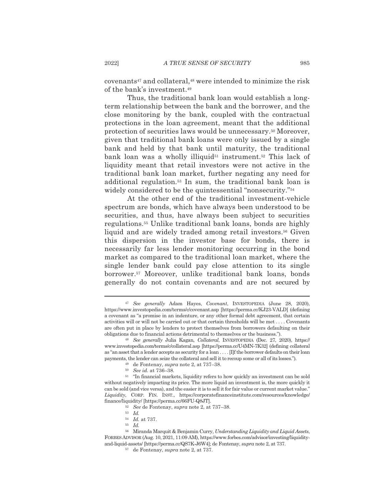covenants<sup>47</sup> and collateral,<sup>48</sup> were intended to minimize the risk of the bank's investment.<sup>49</sup>

Thus, the traditional bank loan would establish a longterm relationship between the bank and the borrower, and the close monitoring by the bank, coupled with the contractual protections in the loan agreement, meant that the additional protection of securities laws would be unnecessary.<sup>50</sup> Moreover, given that traditional bank loans were only issued by a single bank and held by that bank until maturity, the traditional bank loan was a wholly illiquid<sup>51</sup> instrument.<sup>52</sup> This lack of liquidity meant that retail investors were not active in the traditional bank loan market, further negating any need for additional regulation.<sup>53</sup> In sum, the traditional bank loan is widely considered to be the quintessential "nonsecurity."<sup>54</sup>

At the other end of the traditional investment-vehicle spectrum are bonds, which have always been understood to be securities, and thus, have always been subject to securities regulations.<sup>55</sup> Unlike traditional bank loans, bonds are highly liquid and are widely traded among retail investors.<sup>56</sup> Given this dispersion in the investor base for bonds, there is necessarily far less lender monitoring occurring in the bond market as compared to the traditional loan market, where the single lender bank could pay close attention to its single borrower.<sup>57</sup> Moreover, unlike traditional bank loans, bonds generally do not contain covenants and are not secured by

<sup>&</sup>lt;sup>47</sup> See generally Adam Hayes, Covenant, INVESTOPEDIA (June 28, 2020), https://www.investopedia.com/terms/c/covenant.asp [https://perma.cc/KJ23-VALD] (defining a covenant as "a promise in an indenture, or any other formal debt agreement, that certain activities will or will not be carried out or that certain thresholds will be met . . . . Covenants are often put in place by lenders to protect themselves from borrowers defaulting on their obligations due to financial actions detrimental to themselves or the business.").

<sup>&</sup>lt;sup>48</sup> See generally Julia Kagan, Collateral, INVESTOPEDIA (Dec. 27, 2020), https:// www.investopedia.com/terms/c/collateral.asp [https://perma.cc/U4MN-7K32] (defining collateral as "an asset that a lender accepts as security for a loan . . . . [I]f the borrower defaults on their loan payments, the lender can seize the collateral and sell it to recoup some or all of its losses.").

<sup>&</sup>lt;sup>49</sup> de Fontenay, *supra* note 2, at 737–38.

<sup>&</sup>lt;sup>50</sup> See id. at 736-38.

<sup>&</sup>lt;sup>51</sup> "In financial markets, liquidity refers to how quickly an investment can be sold without negatively impacting its price. The more liquid an investment is, the more quickly it can be sold (and vice versa), and the easier it is to sell it for fair value or current market value." Liquidity, CORP. FIN. INST., https://corporatefinanceinstitute.com/resources/knowledge/ finance/liquidity/ [https://perma.cc/66FU-Q8JT].

<sup>&</sup>lt;sup>52</sup> See de Fontenay, *supra* note 2, at 737-38.

 $53$  *Id.* 

 $^{\scriptscriptstyle 54}$   $\hspace{1mm} Id.$  at 737.

 $^{55}$   $\,$   $Id.$ 

<sup>56</sup> Miranda Marquit & Benjamin Curry, Understanding Liquidity and Liquid Assets, FORBES ADVISOR (Aug. 10, 2021, 11:09 AM), https://www.forbes.com/advisor/investing/liquidityand-liquid-assets/ [https://perma.cc/QS7K-J6W4]; de Fontenay, *supra* note 2, at 737.

<sup>&</sup>lt;sup>57</sup> de Fontenay, *supra* note 2, at 737.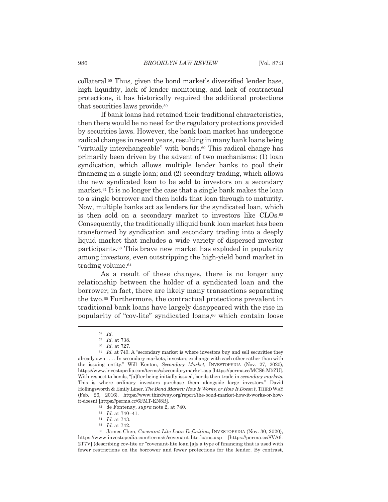collateral.<sup>58</sup> Thus, given the bond market's diversified lender base, high liquidity, lack of lender monitoring, and lack of contractual protections, it has historically required the additional protections that securities laws provide.<sup>59</sup>

If bank loans had retained their traditional characteristics, then there would be no need for the regulatory protections provided by securities laws. However, the bank loan market has undergone radical changes in recent years, resulting in many bank loans being "virtually interchangeable" with bonds.<sup>60</sup> This radical change has primarily been driven by the advent of two mechanisms: (1) loan syndication, which allows multiple lender banks to pool their financing in a single loan; and (2) secondary trading, which allows the new syndicated loan to be sold to investors on a secondary market.<sup>61</sup> It is no longer the case that a single bank makes the loan to a single borrower and then holds that loan through to maturity. Now, multiple banks act as lenders for the syndicated loan, which is then sold on a secondary market to investors like CLOs.<sup>62</sup> Consequently, the traditionally illiquid bank loan market has been transformed by syndication and secondary trading into a deeply liquid market that includes a wide variety of dispersed investor participants.<sup>63</sup> This brave new market has exploded in popularity among investors, even outstripping the high-yield bond market in trading volume.<sup>64</sup>

As a result of these changes, there is no longer any relationship between the holder of a syndicated loan and the borrower; in fact, there are likely many transactions separating the two.<sup>65</sup> Furthermore, the contractual protections prevalent in traditional bank loans have largely disappeared with the rise in popularity of "cov-lite" syndicated loans,<sup>66</sup> which contain loose

<sup>62</sup> de Fontenay, *supra* note 2, at 740.

<sup>65</sup> *Id.* at 742.

 $^{58}$   $Id.$ 

<sup>&</sup>lt;sup>59</sup> Id. at 738.

 $60$  *Id.* at 727.

 $61$  *Id.* at 740. A "secondary market is where investors buy and sell securities they already own . . . . In secondary markets, investors exchange with each other rather than with the issuing entity." Will Kenton, Secondary Market, INVESTOPEDIA (Nov. 27, 2020), https://www.investopedia.com/terms/s/secondarymarket.asp [https://perma.cc/MCS6-M5ZU]. With respect to bonds, "[a]fter being initially issued, bonds then trade in *secondary markets*. This is where ordinary investors purchase them alongside large investors." David Hollingsworth & Emily Liner, The Bond Market: How It Works, or How It Doesn't, THIRD WAY (Feb. 26, 2016), https://www.thirdway.org/report/the-bond-market-how-it-works-or-howit-doesnt [https://perma.cc/6FMT-EN8B].

<sup>63</sup> *Id.* at 740-41.

 $64$  *Id.* at 743.

<sup>&</sup>lt;sup>66</sup> James Chen, Covenant-Lite Loan Definition, INVESTOPEDIA (Nov. 30, 2020), https://www.investopedia.com/terms/c/covenant-lite-loans.asp [https://perma.cc/8VA6-2T7V] (describing cov-lite or "covenant-lite loan [a]s a type of financing that is used with fewer restrictions on the borrower and fewer protections for the lender. By contrast,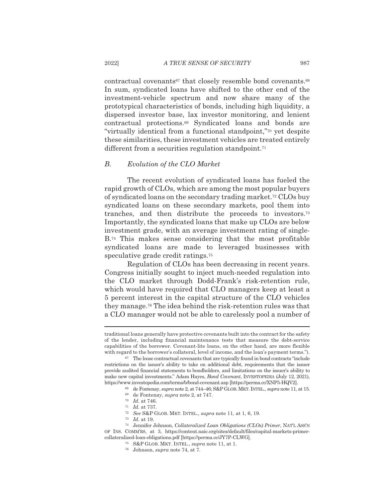contractual covenants<sup>67</sup> that closely resemble bond covenants.<sup>68</sup> In sum, syndicated loans have shifted to the other end of the investment-vehicle spectrum and now share many of the prototypical characteristics of bonds, including high liquidity, a dispersed investor base, lax investor monitoring, and lenient contractual protections.<sup>69</sup> Syndicated loans and bonds are "virtually identical from a functional standpoint,"<sup>70</sup> yet despite these similarities, these investment vehicles are treated entirely different from a securities regulation standpoint.<sup>71</sup>

#### $B.$ Evolution of the CLO Market

The recent evolution of syndicated loans has fueled the rapid growth of CLOs, which are among the most popular buyers of syndicated loans on the secondary trading market.<sup>72</sup> CLOs buy syndicated loans on these secondary markets, pool them into tranches, and then distribute the proceeds to investors.<sup>73</sup> Importantly, the syndicated loans that make up CLOs are below investment grade, with an average investment rating of single- $B^{74}$  This makes sense considering that the most profitable syndicated loans are made to leveraged businesses with speculative grade credit ratings.<sup>75</sup>

Regulation of CLOs has been decreasing in recent years. Congress initially sought to inject much-needed regulation into the CLO market through Dodd-Frank's risk-retention rule, which would have required that CLO managers keep at least a 5 percent interest in the capital structure of the CLO vehicles they manage.<sup>76</sup> The idea behind the risk-retention rules was that a CLO manager would not be able to carelessly pool a number of

traditional loans generally have protective covenants built into the contract for the safety of the lender, including financial maintenance tests that measure the debt-service capabilities of the borrower. Covenant-lite loans, on the other hand, are more flexible with regard to the borrower's collateral, level of income, and the loan's payment terms.").

<sup>&</sup>lt;sup>67</sup> The loose contractual covenants that are typically found in bond contracts "include restrictions on the issuer's ability to take on additional debt, requirements that the issuer provide audited financial statements to bondholders, and limitations on the issuer's ability to make new capital investments." Adam Hayes, *Bond Covenant*, INVESTOPEDIA (July 12, 2021), https://www.investopedia.com/terms/b/bond-covenant.asp [https://perma.cc/XNP5-HQV2].

 $^{68}$  de Fontenay,  $supra$  note 2, at 744–46; S&P GLOB. MKT. INTEL.,  $supra$  note 11, at 15.

<sup>&</sup>lt;sup>69</sup> de Fontenay, *supra* note 2, at 747.

 $70$  Id. at 746.

 $71$  *Id.* at 737.

<sup>&</sup>lt;sup>72</sup> See S&P GLOB. MKT. INTEL., supra note 11, at 1, 6, 19.

 $73$  *Id.* at 19.

<sup>&</sup>lt;sup>74</sup> Jennifer Johnson, Collateralized Loan Obligations (CLOs) Primer, NATL ASS'N OF INS. COMM'RS, at 3, https://content.naic.org/sites/default/files/capital-markets-primercollateralized-loan-obligations.pdf [https://perma.cc/JY7P-CLWG].

<sup>&</sup>lt;sup>75</sup> S&P GLOB. MKT. INTEL., *supra* note 11, at 1.

<sup>&</sup>lt;sup>76</sup> Johnson, *supra* note 74, at 7.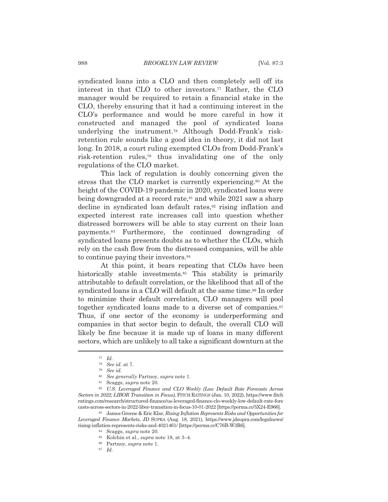syndicated loans into a CLO and then completely sell off its interest in that CLO to other investors.<sup>77</sup> Rather, the CLO manager would be required to retain a financial stake in the CLO, thereby ensuring that it had a continuing interest in the CLO's performance and would be more careful in how it constructed and managed the pool of syndicated loans underlying the instrument.<sup>78</sup> Although Dodd-Frank's riskretention rule sounds like a good idea in theory, it did not last long. In 2018, a court ruling exempted CLOs from Dodd-Frank's risk-retention rules,<sup>79</sup> thus invalidating one of the only regulations of the CLO market.

This lack of regulation is doubly concerning given the stress that the CLO market is currently experiencing.<sup>80</sup> At the height of the COVID-19 pandemic in 2020, syndicated loans were being downgraded at a record rate, $s<sup>1</sup>$  and while 2021 saw a sharp decline in syndicated loan default rates,<sup>82</sup> rising inflation and expected interest rate increases call into question whether distressed borrowers will be able to stay current on their loan payments.<sup>83</sup> Furthermore, the continued downgrading of syndicated loans presents doubts as to whether the CLOs, which rely on the cash flow from the distressed companies, will be able to continue paying their investors.<sup>84</sup>

At this point, it bears repeating that CLOs have been historically stable investments.<sup>85</sup> This stability is primarily attributable to default correlation, or the likelihood that all of the syndicated loans in a CLO will default at the same time.<sup>86</sup> In order to minimize their default correlation, CLO managers will pool together syndicated loans made to a diverse set of companies.<sup>87</sup> Thus, if one sector of the economy is underperforming and companies in that sector begin to default, the overall CLO will likely be fine because it is made up of loans in many different sectors, which are unlikely to all take a significant downturn at the

- <sup>80</sup> See generally Partnoy, supra note 1.
- <sup>81</sup> Scaggs, *supra* note 20.

82 U.S. Leveraged Finance and CLO Weekly (Low Default Rate Forecasts Across Sectors in 2022; LIBOR Transition in Focus), FITCH RATINGS (Jan. 10, 2022), https://www.fitch ratings.com/research/structured-finance/us-leveraged-finance-clo-weekly-low-default-rate-fore casts-across-sectors-in-2022-libor-transition-in-focus-10-01-2022 [https://perma.cc/5X24-E966].

83 James Greene & Eric Klar, Rising Inflation Represents Risks and Opportunities for Leveraged Finance Markets, JD SUPRA (Aug. 18, 2021), https://www.jdsupra.com/legalnews/ rising-inflation-represents-risks-and-4021461/ [https://perma.cc/C76B-W3R6].

 $^{77}$   $\,$   $\!Id.$ 

<sup>&</sup>lt;sup>78</sup> See id. at 7.

 $79$  See id.

<sup>84</sup> Scaggs, *supra* note 20.

<sup>&</sup>lt;sup>85</sup> Kolchin et al., *supra* note 18, at 3-4.

<sup>&</sup>lt;sup>86</sup> Partnoy, *supra* note 1.

 $87$  *Id.*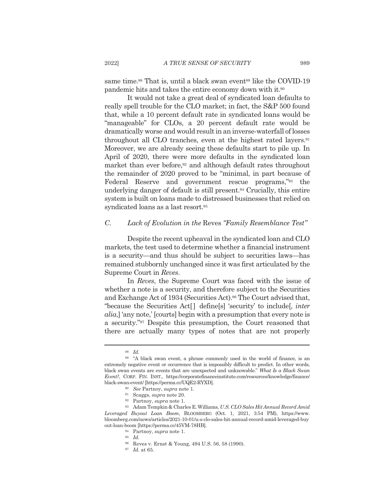same time.<sup>88</sup> That is, until a black swan event<sup>89</sup> like the COVID-19 pandemic hits and takes the entire economy down with it.<sup>90</sup>

It would not take a great deal of syndicated loan defaults to really spell trouble for the CLO market; in fact, the S&P 500 found that, while a 10 percent default rate in syndicated loans would be "manageable" for CLOs, a 20 percent default rate would be dramatically worse and would result in an inverse-waterfall of losses throughout all CLO tranches, even at the highest rated layers.<sup>91</sup> Moreover, we are already seeing these defaults start to pile up. In April of 2020, there were more defaults in the syndicated loan market than ever before,<sup>92</sup> and although default rates throughout the remainder of 2020 proved to be "minimal, in part because of Federal Reserve and government rescue programs,"<sup>93</sup> the underlying danger of default is still present.<sup>94</sup> Crucially, this entire system is built on loans made to distressed businesses that relied on syndicated loans as a last resort.<sup>95</sup>

#### $C_{\cdot}$ Lack of Evolution in the Reves "Family Resemblance Test"

Despite the recent upheaval in the syndicated loan and CLO markets, the test used to determine whether a financial instrument is a security—and thus should be subject to securities laws—has remained stubbornly unchanged since it was first articulated by the Supreme Court in Reves.

In Reves, the Supreme Court was faced with the issue of whether a note is a security, and therefore subject to the Securities and Exchange Act of 1934 (Securities Act).<sup>96</sup> The Court advised that, "because the Securities Act<sup>[]</sup> define<sup>[s]</sup> 'security' to include<sup>[, inter</sup> *alia*, any note, [courts] begin with a presumption that every note is a security."<sup>97</sup> Despite this presumption, the Court reasoned that there are actually many types of notes that are not properly

 $88$  Id.

<sup>&</sup>lt;sup>89</sup> "A black swan event, a phrase commonly used in the world of finance, is an extremely negative event or occurrence that is impossibly difficult to predict. In other words, black swan events are events that are unexpected and unknowable." What Is a Black Swan Event?, CORP. FIN. INST., https://corporatefinanceinstitute.com/resources/knowledge/finance/ black-swan-event/[https://perma.cc/UQE2-RYXD].

 $\real^{90}$   $\,$  See Partnoy,  $supra$  note 1.

<sup>&</sup>lt;sup>91</sup> Scaggs, *supra* note 20.

<sup>&</sup>lt;sup>92</sup> Partnoy, *supra* note 1.

<sup>93</sup> Adam Tempkin & Charles E. Williams, U.S. CLO Sales Hit Annual Record Amid Leveraged Buyout Loan Boom, BLOOMBERG (Oct. 1, 2021, 3:54 PM), https://www. bloomberg.com/news/articles/2021-10-01/u-s-clo-sales-hit-annual-record-amid-leveraged-buy out-loan-boom [https://perma.cc/45VM-78HB].

<sup>94</sup> Partnoy, *supra* note 1.

 $95 \frac{1}{d}$ 

<sup>&</sup>lt;sup>96</sup> Reves v. Ernst & Young, 494 U.S. 56, 58 (1990).

 $^{97}$   $\,$   $Id.$  at 65.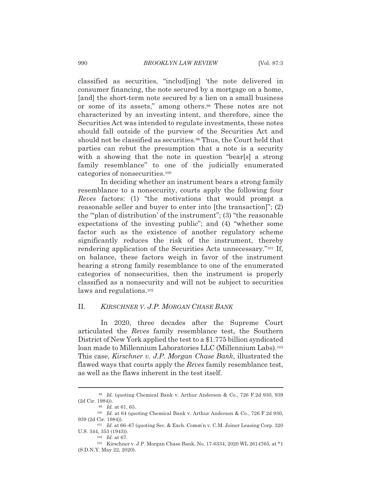**BROOKLYN LAW REVIEW** 

classified as securities, "includ[ing] 'the note delivered in consumer financing, the note secured by a mortgage on a home, [and] the short-term note secured by a lien on a small business or some of its assets," among others.<sup>98</sup> These notes are not characterized by an investing intent, and therefore, since the Securities Act was intended to regulate investments, these notes should fall outside of the purview of the Securities Act and should not be classified as securities.<sup>99</sup> Thus, the Court held that parties can rebut the presumption that a note is a security with a showing that the note in question "bear[s] a strong family resemblance" to one of the judicially enumerated categories of nonsecurities.<sup>100</sup>

In deciding whether an instrument bears a strong family resemblance to a nonsecurity, courts apply the following four *Reves* factors: (1) "the motivations that would prompt a reasonable seller and buyer to enter into [the transaction]"; (2) the "plan of distribution' of the instrument"; (3) "the reasonable expectations of the investing public"; and (4) "whether some factor such as the existence of another regulatory scheme significantly reduces the risk of the instrument, thereby rendering application of the Securities Acts unnecessary."<sup>101</sup> If, on balance, these factors weigh in favor of the instrument bearing a strong family resemblance to one of the enumerated categories of nonsecurities, then the instrument is properly classified as a nonsecurity and will not be subject to securities laws and regulations.<sup>102</sup>

#### $\Pi$ . KIRSCHNER V. J.P. MORGAN CHASE BANK

In 2020, three decades after the Supreme Court articulated the Reves family resemblance test, the Southern District of New York applied the test to a \$1.775 billion syndicated loan made to Millennium Laboratories LLC (Millennium Labs).<sup>103</sup> This case, Kirschner v. J.P. Morgan Chase Bank, illustrated the flawed ways that courts apply the *Reves* family resemblance test, as well as the flaws inherent in the test itself.

<sup>&</sup>lt;sup>98</sup> Id. (quoting Chemical Bank v. Arthur Anderson & Co., 726 F.2d 930, 939 (2d Cir. 1984)).

 $^{99}$  *Id.* at 61, 65.

<sup>&</sup>lt;sup>100</sup> Id. at 64 (quoting Chemical Bank v. Arthur Anderson & Co., 726 F.2d 930, 939 (2d Cir. 1984)).

<sup>&</sup>lt;sup>101</sup> Id. at 66-67 (quoting Sec. & Exch. Comm'n v. C.M. Joiner Leasing Corp. 320 U.S. 344, 353 (1943)).

 $102$  *Id.* at 67.

<sup>103</sup> Kirschner v. J.P. Morgan Chase Bank, No. 17-6334, 2020 WL 2614765, at \*1 (S.D.N.Y. May 22, 2020).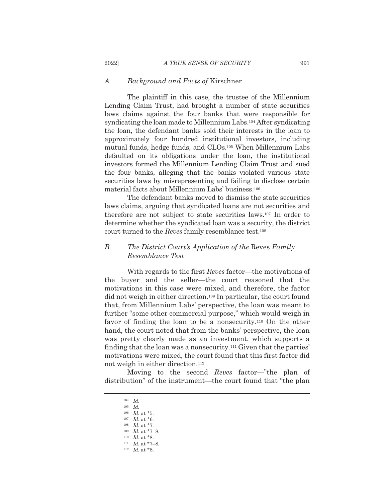#### $A$ . Background and Facts of Kirschner

The plaintiff in this case, the trustee of the Millennium Lending Claim Trust, had brought a number of state securities laws claims against the four banks that were responsible for syndicating the loan made to Millennium Labs.<sup>104</sup> After syndicating the loan, the defendant banks sold their interests in the loan to approximately four hundred institutional investors, including mutual funds, hedge funds, and CLOs.<sup>105</sup> When Millennium Labs defaulted on its obligations under the loan, the institutional investors formed the Millennium Lending Claim Trust and sued the four banks, alleging that the banks violated various state securities laws by misrepresenting and failing to disclose certain material facts about Millennium Labs' business.<sup>106</sup>

The defendant banks moved to dismiss the state securities laws claims, arguing that syndicated loans are not securities and therefore are not subject to state securities laws.<sup>107</sup> In order to determine whether the syndicated loan was a security, the district court turned to the Reves family resemblance test.<sup>108</sup>

### $B$ . The District Court's Application of the Reves Family Resemblance Test

With regards to the first Reves factor—the motivations of the buyer and the seller—the court reasoned that the motivations in this case were mixed, and therefore, the factor did not weigh in either direction.<sup>109</sup> In particular, the court found that, from Millennium Labs' perspective, the loan was meant to further "some other commercial purpose," which would weigh in favor of finding the loan to be a nonsecurity.<sup>110</sup> On the other hand, the court noted that from the banks' perspective, the loan was pretty clearly made as an investment, which supports a finding that the loan was a nonsecurity.<sup>111</sup> Given that the parties' motivations were mixed, the court found that this first factor did not weigh in either direction.<sup>112</sup>

Moving to the second Reves factor—"the plan of distribution" of the instrument—the court found that "the plan

- $109$  *Id.* at \*7-8.
- <sup>110</sup> *Id.* at \*8.
- $111$  *Id.* at \*7-8.
- $112$  *Id.* at \*8.

2022]

 $104$  *Id.* 

 $105$  *Id.* 

 $106$  *Id.* at \*5.  $107$  *Id.* at \*6.

 $108$  *Id.* at \*7.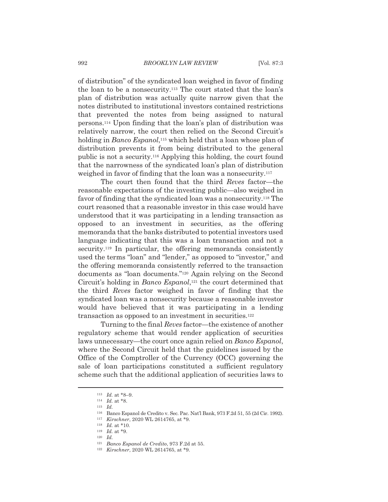of distribution" of the syndicated loan weighed in favor of finding the loan to be a nonsecurity.<sup>113</sup> The court stated that the loan's plan of distribution was actually quite narrow given that the notes distributed to institutional investors contained restrictions that prevented the notes from being assigned to natural persons.<sup>114</sup> Upon finding that the loan's plan of distribution was relatively narrow, the court then relied on the Second Circuit's holding in *Banco Espanol*,<sup>115</sup> which held that a loan whose plan of distribution prevents it from being distributed to the general public is not a security.<sup>116</sup> Applying this holding, the court found that the narrowness of the syndicated loan's plan of distribution weighed in favor of finding that the loan was a nonsecurity.<sup>117</sup>

The court then found that the third Reves factor—the reasonable expectations of the investing public—also weighed in favor of finding that the syndicated loan was a nonsecurity.<sup>118</sup> The court reasoned that a reasonable investor in this case would have understood that it was participating in a lending transaction as opposed to an investment in securities, as the offering memoranda that the banks distributed to potential investors used language indicating that this was a loan transaction and not a security.<sup>119</sup> In particular, the offering memoranda consistently used the terms "loan" and "lender," as opposed to "investor," and the offering memoranda consistently referred to the transaction documents as "loan documents."<sup>120</sup> Again relying on the Second Circuit's holding in Banco Espanol,<sup>121</sup> the court determined that the third Reves factor weighed in favor of finding that the syndicated loan was a nonsecurity because a reasonable investor would have believed that it was participating in a lending transaction as opposed to an investment in securities.<sup>122</sup>

Turning to the final Reves factor—the existence of another regulatory scheme that would render application of securities laws unnecessary—the court once again relied on Banco Espanol, where the Second Circuit held that the guidelines issued by the Office of the Comptroller of the Currency  $(OCC)$  governing the sale of loan participations constituted a sufficient regulatory scheme such that the additional application of securities laws to

 $113$  *Id.* at \*8-9.

<sup>&</sup>lt;sup>114</sup> *Id.* at \*8.

 $115$  *Id.* 

<sup>&</sup>lt;sup>116</sup> Banco Espanol de Credito v. Sec. Pac. Nat'l Bank, 973 F.2d 51, 55 (2d Cir. 1992).

 $^{117}~$  Kirschner, 2020 WL 2614765, at \*9.

 $118\,$ *Id.* at \*10.

 $119$  *Id.* at \*9.

 $120$  *Id.* 

<sup>&</sup>lt;sup>121</sup> Banco Espanol de Credito, 973 F.2d at 55.

<sup>122</sup> Kirschner, 2020 WL 2614765, at \*9.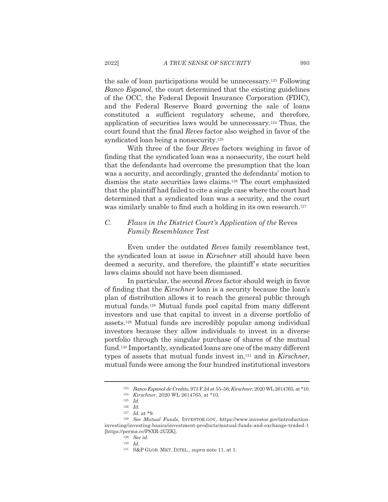the sale of loan participations would be unnecessary.<sup>123</sup> Following Banco Espanol, the court determined that the existing guidelines of the OCC, the Federal Deposit Insurance Corporation (FDIC), and the Federal Reserve Board governing the sale of loans constituted a sufficient regulatory scheme, and therefore, application of securities laws would be unnecessary.<sup>124</sup> Thus, the court found that the final Reves factor also weighed in favor of the syndicated loan being a nonsecurity.<sup>125</sup>

With three of the four *Reves* factors weighing in favor of finding that the syndicated loan was a nonsecurity, the court held that the defendants had overcome the presumption that the loan was a security, and accordingly, granted the defendants' motion to dismiss the state securities laws claims.<sup>126</sup> The court emphasized that the plaintiff had failed to cite a single case where the court had determined that a syndicated loan was a security, and the court was similarly unable to find such a holding in its own research.<sup>127</sup>

## $\overline{C}$ . Flaws in the District Court's Application of the Reves **Family Resemblance Test**

Even under the outdated Reves family resemblance test, the syndicated loan at issue in Kirschner still should have been deemed a security, and therefore, the plaintiff's state securities laws claims should not have been dismissed.

In particular, the second Reves factor should weigh in favor of finding that the *Kirschner* loan is a security because the loan's plan of distribution allows it to reach the general public through mutual funds.<sup>128</sup> Mutual funds pool capital from many different investors and use that capital to invest in a diverse portfolio of assets.<sup>129</sup> Mutual funds are incredibly popular among individual investors because they allow individuals to invest in a diverse portfolio through the singular purchase of shares of the mutual fund.<sup>130</sup> Importantly, syndicated loans are one of the many different types of assets that mutual funds invest in,<sup>131</sup> and in Kirschner, mutual funds were among the four hundred institutional investors

<sup>&</sup>lt;sup>123</sup> Banco Espanol de Credito, 973 F.2d at 55-56; Kirschner, 2020 WL 2614765, at \*10.

<sup>&</sup>lt;sup>124</sup> Kirschner, 2020 WL 2614765, at \*10.

 $125$  *Id.* 

 $126$  *Id.* 

 $127$  *Id.* at \*9.

<sup>&</sup>lt;sup>128</sup> See Mutual Funds, INVESTOR.GOV, https://www.investor.gov/introductioninvesting/investing-basics/investment-products/mutual-funds-and-exchange-traded-1 [https://perma.cc/P8XR-2UZK].

 $129$  See id.

 $130$  *Id.* 

<sup>&</sup>lt;sup>131</sup> S&P GLOB. MKT. INTEL., *supra* note 11, at 1.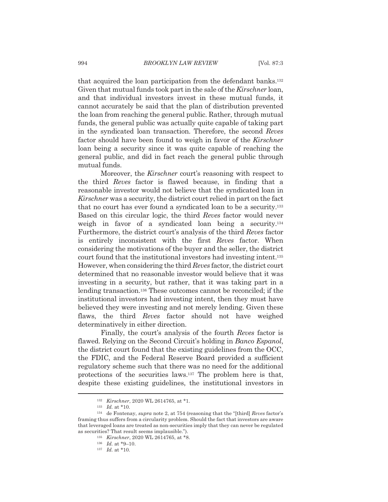that acquired the loan participation from the defendant banks.<sup>132</sup> Given that mutual funds took part in the sale of the Kirschner loan, and that individual investors invest in these mutual funds, it cannot accurately be said that the plan of distribution prevented the loan from reaching the general public. Rather, through mutual funds, the general public was actually quite capable of taking part in the syndicated loan transaction. Therefore, the second Reves factor should have been found to weigh in favor of the Kirschner loan being a security since it was quite capable of reaching the general public, and did in fact reach the general public through mutual funds.

Moreover, the *Kirschner* court's reasoning with respect to the third Reves factor is flawed because, in finding that a reasonable investor would not believe that the syndicated loan in Kirschner was a security, the district court relied in part on the fact that no court has ever found a syndicated loan to be a security.<sup>133</sup> Based on this circular logic, the third Reves factor would never weigh in favor of a syndicated loan being a security.<sup>134</sup> Furthermore, the district court's analysis of the third Reves factor is entirely inconsistent with the first Reves factor. When considering the motivations of the buyer and the seller, the district court found that the institutional investors had investing intent.<sup>135</sup> However, when considering the third Reves factor, the district court determined that no reasonable investor would believe that it was investing in a security, but rather, that it was taking part in a lending transaction.<sup>136</sup> These outcomes cannot be reconciled; if the institutional investors had investing intent, then they must have believed they were investing and not merely lending. Given these flaws, the third Reves factor should not have weighed determinatively in either direction.

Finally, the court's analysis of the fourth Reves factor is flawed. Relying on the Second Circuit's holding in Banco Espanol, the district court found that the existing guidelines from the OCC. the FDIC, and the Federal Reserve Board provided a sufficient regulatory scheme such that there was no need for the additional protections of the securities laws.<sup>137</sup> The problem here is that, despite these existing guidelines, the institutional investors in

<sup>&</sup>lt;sup>132</sup> Kirschner, 2020 WL 2614765, at \*1.

 $133$  *Id.* at \*10.

<sup>&</sup>lt;sup>134</sup> de Fontenay, *supra* note 2, at 754 (reasoning that the "[third] Reves factor's framing thus suffers from a circularity problem. Should the fact that investors are aware that leveraged loans are treated as non-securities imply that they can never be regulated as securities? That result seems implausible.").

<sup>&</sup>lt;sup>135</sup> Kirschner, 2020 WL 2614765, at \*8.

 $136$  *Id.* at \*9-10.

 $137$  *Id.* at \*10.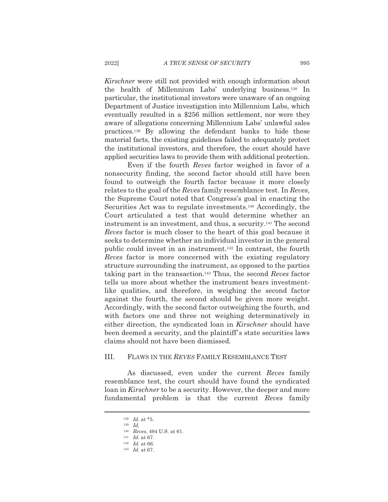*Kirschner* were still not provided with enough information about the health of Millennium Labs' underlying business.<sup>138</sup> In particular, the institutional investors were unaware of an ongoing Department of Justice investigation into Millennium Labs, which eventually resulted in a \$256 million settlement, nor were they aware of allegations concerning Millennium Labs' unlawful sales practices.<sup>139</sup> By allowing the defendant banks to hide these material facts, the existing guidelines failed to adequately protect the institutional investors, and therefore, the court should have applied securities laws to provide them with additional protection.

Even if the fourth Reves factor weighed in favor of a nonsecurity finding, the second factor should still have been found to outweigh the fourth factor because it more closely relates to the goal of the Reves family resemblance test. In Reves, the Supreme Court noted that Congress's goal in enacting the Securities Act was to regulate investments.<sup>140</sup> Accordingly, the Court articulated a test that would determine whether an instrument is an investment, and thus, a security.<sup>141</sup> The second Reves factor is much closer to the heart of this goal because it seeks to determine whether an individual investor in the general public could invest in an instrument.<sup>142</sup> In contrast, the fourth Reves factor is more concerned with the existing regulatory structure surrounding the instrument, as opposed to the parties taking part in the transaction.<sup>143</sup> Thus, the second Reves factor tells us more about whether the instrument bears investmentlike qualities, and therefore, in weighing the second factor against the fourth, the second should be given more weight. Accordingly, with the second factor outweighing the fourth, and with factors one and three not weighing determinatively in either direction, the syndicated loan in Kirschner should have been deemed a security, and the plaintiff's state securities laws claims should not have been dismissed.

#### III. FLAWS IN THE REVES FAMILY RESEMBLANCE TEST

As discussed, even under the current Reves family resemblance test, the court should have found the syndicated loan in Kirschner to be a security. However, the deeper and more fundamental problem is that the current Reves family

<sup>&</sup>lt;sup>138</sup> *Id.* at \*5.

 $139$  *Id.* 

<sup>&</sup>lt;sup>140</sup> Reves, 494 U.S. at 61.

 $141$  *Id.* at 67.

 $142$  *Id.* at 66.  $143$  *Id.* at 67.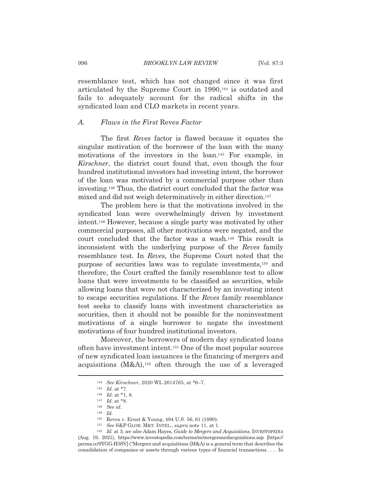resemblance test, which has not changed since it was first articulated by the Supreme Court in 1990,<sup>144</sup> is outdated and fails to adequately account for the radical shifts in the syndicated loan and CLO markets in recent years.

#### Flaws in the First Reves Factor  $A_{\cdot}$

The first *Reves* factor is flawed because it equates the singular motivation of the borrower of the loan with the many motivations of the investors in the loan.<sup>145</sup> For example, in Kirschner, the district court found that, even though the four hundred institutional investors had investing intent, the borrower of the loan was motivated by a commercial purpose other than investing.<sup>146</sup> Thus, the district court concluded that the factor was mixed and did not weigh determinatively in either direction.<sup>147</sup>

The problem here is that the motivations involved in the syndicated loan were overwhelmingly driven by investment intent.<sup>148</sup> However, because a single party was motivated by other commercial purposes, all other motivations were negated, and the court concluded that the factor was a wash.<sup>149</sup> This result is inconsistent with the underlying purpose of the Reves family resemblance test. In Reves, the Supreme Court noted that the purpose of securities laws was to regulate investments,<sup>150</sup> and therefore, the Court crafted the family resemblance test to allow loans that were investments to be classified as securities, while allowing loans that were not characterized by an investing intent to escape securities regulations. If the Reves family resemblance test seeks to classify loans with investment characteristics as securities, then it should not be possible for the noninvestment motivations of a single borrower to negate the investment motivations of four hundred institutional investors.

Moreover, the borrowers of modern day syndicated loans often have investment intent.<sup>151</sup> One of the most popular sources of new syndicated loan issuances is the financing of mergers and acquisitions  $(M&A),<sup>152</sup>$  often through the use of a leveraged

<sup>&</sup>lt;sup>144</sup> See Kirschner, 2020 WL 2614765, at \*6-7.

<sup>&</sup>lt;sup>145</sup> *Id.* at  $*7$ .

<sup>&</sup>lt;sup>146</sup> *Id.* at \*1, 8.

 $147$  *Id.* at \*8.

 $148$  See id.

 $149$  *Id.* 

 $^{150}$  Reves v. Ernst & Young, 494 U.S. 56, 61 (1990).

 $^{151}$   $\,$  See S&P GLOB. MKT. INTEL.,  $supra$  note 11, at 1.

<sup>&</sup>lt;sup>152</sup> Id. at 3; see also Adam Hayes, Guide to Mergers and Acquisitions, INVESTOPEDIA (Aug. 19, 2021), https://www.investopedia.com/terms/m/mergersandacquisitions.asp [https:// perma.cc/9YGG-H3SV] ("Mergers and acquisitions (M&A) is a general term that describes the consolidation of companies or assets through various types of financial transactions .... In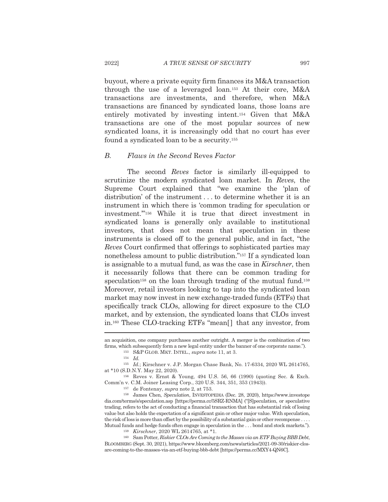buyout, where a private equity firm finances its M&A transaction through the use of a leveraged loan.<sup>153</sup> At their core, M&A transactions are investments, and therefore, when M&A transactions are financed by syndicated loans, those loans are entirely motivated by investing intent.<sup>154</sup> Given that M&A transactions are one of the most popular sources of new syndicated loans, it is increasingly odd that no court has ever found a syndicated loan to be a security.<sup>155</sup>

#### $B_{\cdot}$ Flaws in the Second Reves Factor

The second Reves factor is similarly ill-equipped to scrutinize the modern syndicated loan market. In Reves, the Supreme Court explained that "we examine the 'plan of distribution' of the instrument ... to determine whether it is an instrument in which there is 'common trading for speculation or investment."<sup>156</sup> While it is true that direct investment in syndicated loans is generally only available to institutional investors, that does not mean that speculation in these instruments is closed off to the general public, and in fact, "the Reves Court confirmed that offerings to sophisticated parties may nonetheless amount to public distribution."<sup>157</sup> If a syndicated loan is assignable to a mutual fund, as was the case in Kirschner, then it necessarily follows that there can be common trading for speculation<sup>158</sup> on the loan through trading of the mutual fund.<sup>159</sup> Moreover, retail investors looking to tap into the syndicated loan market may now invest in new exchange-traded funds (ETFs) that specifically track CLOs, allowing for direct exposure to the CLO market, and by extension, the syndicated loans that CLOs invest in.<sup>160</sup> These CLO-tracking ETFs "mean<sup>[]</sup> that any investor, from

<sup>157</sup> de Fontenay, *supra* note 2, at 753.

<sup>158</sup> James Chen, Speculation, INVESTOPEDIA (Dec. 28, 2020), https://www.investope dia.com/terms/s/speculation.asp [https://perma.cc/5SRZ-RNMA] ("[S]peculation, or speculative trading, refers to the act of conducting a financial transaction that has substantial risk of losing value but also holds the expectation of a significant gain or other major value. With speculation, the risk of loss is more than offset by the possibility of a substantial gain or other recompense .... Mutual funds and hedge funds often engage in speculation in the ... bond and stock markets.").

159 Kirschner, 2020 WL 2614765, at \*1.

<sup>160</sup> Sam Potter, *Riskier CLOs Are Coming to the Masses via an ETF Buying BBB Debt*, BLOOMBERG (Sept. 30, 2021), https://www.bloomberg.com/news/articles/2021-09-30/riskier-closare-coming-to-the-masses-via-an-etf-buying-bbb-debt [https://perma.cc/MXY4-QN6C].

an acquisition, one company purchases another outright. A merger is the combination of two firms, which subsequently form a new legal entity under the banner of one corporate name.").

 $^{153}$  S&P GLOB. MKT. INTEL., supra note 11, at 3.

 $154$  *Id.* 

 $^{155}$   $\,$   $Id.;$  Kirschner v. J.P. Morgan Chase Bank, No. 17-6334, 2020 WL 2614765, at \*10 (S.D.N.Y. May 22, 2020).

<sup>&</sup>lt;sup>156</sup> Reves v. Ernst & Young, 494 U.S. 56, 66 (1990) (quoting Sec. & Exch. Comm'n v. C.M. Joiner Leasing Corp., 320 U.S. 344, 351, 353 (1943)).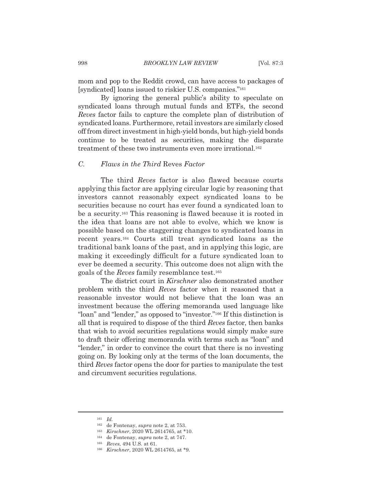mom and pop to the Reddit crowd, can have access to packages of [syndicated] loans issued to riskier U.S. companies."<sup>161</sup>

By ignoring the general public's ability to speculate on syndicated loans through mutual funds and ETFs, the second Reves factor fails to capture the complete plan of distribution of syndicated loans. Furthermore, retail investors are similarly closed off from direct investment in high-yield bonds, but high-yield bonds continue to be treated as securities, making the disparate treatment of these two instruments even more irrational.<sup>162</sup>

#### $\overline{C}$ . Flaws in the Third Reves Factor

The third *Reves* factor is also flawed because courts applying this factor are applying circular logic by reasoning that investors cannot reasonably expect syndicated loans to be securities because no court has ever found a syndicated loan to be a security.<sup>163</sup> This reasoning is flawed because it is rooted in the idea that loans are not able to evolve, which we know is possible based on the staggering changes to syndicated loans in recent years.<sup>164</sup> Courts still treat syndicated loans as the traditional bank loans of the past, and in applying this logic, are making it exceedingly difficult for a future syndicated loan to ever be deemed a security. This outcome does not align with the goals of the Reves family resemblance test.<sup>165</sup>

The district court in Kirschner also demonstrated another problem with the third Reves factor when it reasoned that a reasonable investor would not believe that the loan was an investment because the offering memoranda used language like "loan" and "lender," as opposed to "investor."<sup>166</sup> If this distinction is all that is required to dispose of the third Reves factor, then banks that wish to avoid securities regulations would simply make sure to draft their offering memoranda with terms such as "loan" and "lender," in order to convince the court that there is no investing going on. By looking only at the terms of the loan documents, the third Reves factor opens the door for parties to manipulate the test and circumvent securities regulations.

 $161$  *Id.* 

<sup>&</sup>lt;sup>162</sup> de Fontenay, *supra* note 2, at 753.

<sup>163</sup> Kirschner, 2020 WL 2614765, at \*10.

<sup>&</sup>lt;sup>164</sup> de Fontenay, *supra* note 2, at 747.

<sup>&</sup>lt;sup>165</sup> Reves, 494 U.S. at 61.

<sup>166</sup> Kirschner, 2020 WL 2614765, at \*9.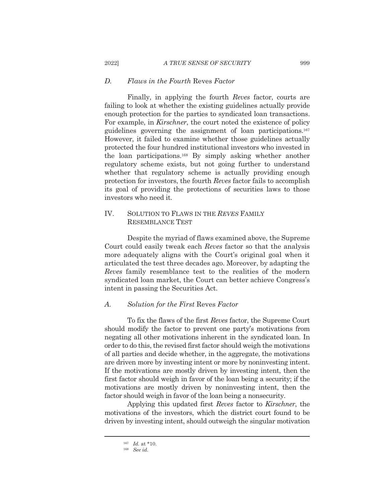#### $D_{\cdot}$ Flaws in the Fourth Reves Factor

2022]

Finally, in applying the fourth Reves factor, courts are failing to look at whether the existing guidelines actually provide enough protection for the parties to syndicated loan transactions. For example, in *Kirschner*, the court noted the existence of policy guidelines governing the assignment of loan participations.<sup>167</sup> However, it failed to examine whether those guidelines actually protected the four hundred institutional investors who invested in the loan participations.<sup>168</sup> By simply asking whether another regulatory scheme exists, but not going further to understand whether that regulatory scheme is actually providing enough protection for investors, the fourth Reves factor fails to accomplish its goal of providing the protections of securities laws to those investors who need it.

## IV. SOLUTION TO FLAWS IN THE REVES FAMILY **RESEMBLANCE TEST**

Despite the myriad of flaws examined above, the Supreme Court could easily tweak each Reves factor so that the analysis more adequately aligns with the Court's original goal when it articulated the test three decades ago. Moreover, by adapting the Reves family resemblance test to the realities of the modern syndicated loan market, the Court can better achieve Congress's intent in passing the Securities Act.

#### $\overline{A}$ . Solution for the First Reves Factor

To fix the flaws of the first Reves factor, the Supreme Court should modify the factor to prevent one party's motivations from negating all other motivations inherent in the syndicated loan. In order to do this, the revised first factor should weigh the motivations of all parties and decide whether, in the aggregate, the motivations are driven more by investing intent or more by noninvesting intent. If the motivations are mostly driven by investing intent, then the first factor should weigh in favor of the loan being a security; if the motivations are mostly driven by noninvesting intent, then the factor should weigh in favor of the loan being a nonsecurity.

Applying this updated first Reves factor to Kirschner, the motivations of the investors, which the district court found to be driven by investing intent, should outweigh the singular motivation

 $167$  *Id.* at \*10.

 $168$  See id.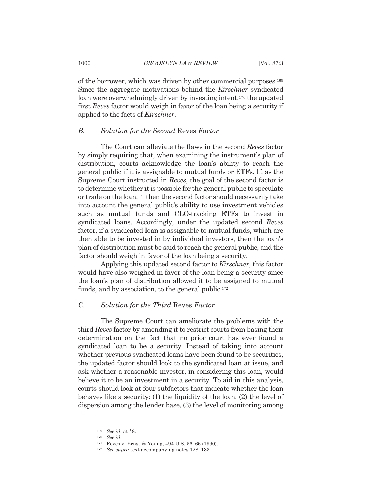of the borrower, which was driven by other commercial purposes.<sup>169</sup> Since the aggregate motivations behind the Kirschner syndicated loan were overwhelmingly driven by investing intent,<sup>170</sup> the updated first Reves factor would weigh in favor of the loan being a security if applied to the facts of Kirschner.

#### $B_{\cdot}$ Solution for the Second Reves Factor

The Court can alleviate the flaws in the second Reves factor by simply requiring that, when examining the instrument's plan of distribution, courts acknowledge the loan's ability to reach the general public if it is assignable to mutual funds or ETFs. If, as the Supreme Court instructed in Reves, the goal of the second factor is to determine whether it is possible for the general public to speculate or trade on the loan,<sup>171</sup> then the second factor should necessarily take into account the general public's ability to use investment vehicles such as mutual funds and CLO-tracking ETFs to invest in syndicated loans. Accordingly, under the updated second Reves factor, if a syndicated loan is assignable to mutual funds, which are then able to be invested in by individual investors, then the loan's plan of distribution must be said to reach the general public, and the factor should weigh in favor of the loan being a security.

Applying this updated second factor to *Kirschner*, this factor would have also weighed in favor of the loan being a security since the loan's plan of distribution allowed it to be assigned to mutual funds, and by association, to the general public.<sup>172</sup>

#### $C_{\cdot}$ Solution for the Third Reves Factor

The Supreme Court can ameliorate the problems with the third Reves factor by amending it to restrict courts from basing their determination on the fact that no prior court has ever found a syndicated loan to be a security. Instead of taking into account whether previous syndicated loans have been found to be securities, the updated factor should look to the syndicated loan at issue, and ask whether a reasonable investor, in considering this loan, would believe it to be an investment in a security. To aid in this analysis, courts should look at four subfactors that indicate whether the loan behaves like a security:  $(1)$  the liquidity of the loan,  $(2)$  the level of dispersion among the lender base, (3) the level of monitoring among

<sup>169</sup> See id. at \*8.

 $170$  See id.

<sup>&</sup>lt;sup>171</sup> Reves v. Ernst & Young, 494 U.S. 56, 66 (1990).

<sup>&</sup>lt;sup>172</sup> See supra text accompanying notes 128-133.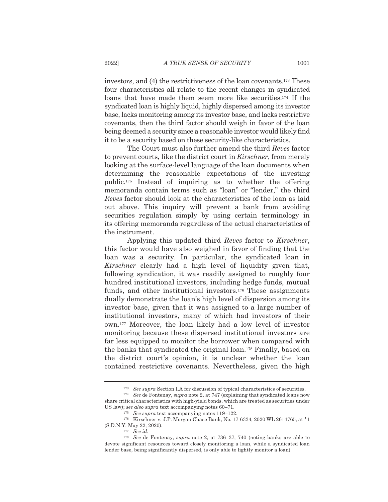investors, and (4) the restrictiveness of the loan covenants.<sup>173</sup> These four characteristics all relate to the recent changes in syndicated loans that have made them seem more like securities.<sup>174</sup> If the syndicated loan is highly liquid, highly dispersed among its investor base, lacks monitoring among its investor base, and lacks restrictive covenants, then the third factor should weigh in favor of the loan being deemed a security since a reasonable investor would likely find it to be a security based on these security-like characteristics.

The Court must also further amend the third Reves factor to prevent courts, like the district court in Kirschner, from merely looking at the surface-level language of the loan documents when determining the reasonable expectations of the investing public.<sup>175</sup> Instead of inquiring as to whether the offering memoranda contain terms such as "loan" or "lender," the third Reves factor should look at the characteristics of the loan as laid out above. This inquiry will prevent a bank from avoiding securities regulation simply by using certain terminology in its offering memoranda regardless of the actual characteristics of the instrument.

Applying this updated third Reves factor to Kirschner, this factor would have also weighed in favor of finding that the loan was a security. In particular, the syndicated loan in *Kirschner* clearly had a high level of liquidity given that, following syndication, it was readily assigned to roughly four hundred institutional investors, including hedge funds, mutual funds, and other institutional investors.<sup>176</sup> These assignments dually demonstrate the loan's high level of dispersion among its investor base, given that it was assigned to a large number of institutional investors, many of which had investors of their own.<sup>177</sup> Moreover, the loan likely had a low level of investor monitoring because these dispersed institutional investors are far less equipped to monitor the borrower when compared with the banks that syndicated the original loan.<sup>178</sup> Finally, based on the district court's opinion, it is unclear whether the loan contained restrictive covenants. Nevertheless, given the high

<sup>175</sup> See supra text accompanying notes  $119-122$ .

<sup>&</sup>lt;sup>173</sup> See supra Section I.A for discussion of typical characteristics of securities.

<sup>&</sup>lt;sup>174</sup> See de Fontenay, supra note 2, at 747 (explaining that syndicated loans now share critical characteristics with high-yield bonds, which are treated as securities under US law); see also supra text accompanying notes 60-71.

<sup>&</sup>lt;sup>176</sup> Kirschner v. J.P. Morgan Chase Bank, No. 17-6334, 2020 WL 2614765, at \*1 (S.D.N.Y. May 22, 2020).

 $177$  See id.

<sup>&</sup>lt;sup>178</sup> See de Fontenay, supra note 2, at 736-37, 740 (noting banks are able to devote significant resources toward closely monitoring a loan, while a syndicated loan lender base, being significantly dispersed, is only able to lightly monitor a loan).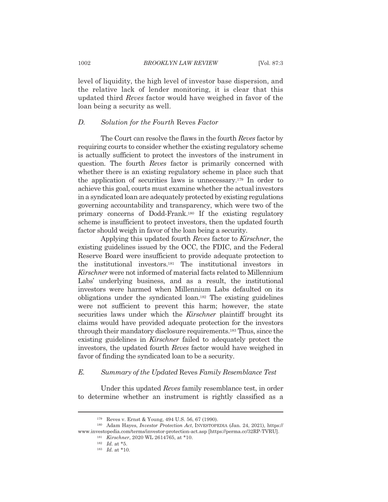level of liquidity, the high level of investor base dispersion, and the relative lack of lender monitoring, it is clear that this updated third Reves factor would have weighed in favor of the loan being a security as well.

#### $D.$ Solution for the Fourth Reves Factor

The Court can resolve the flaws in the fourth Reves factor by requiring courts to consider whether the existing regulatory scheme is actually sufficient to protect the investors of the instrument in question. The fourth Reves factor is primarily concerned with whether there is an existing regulatory scheme in place such that the application of securities laws is unnecessary.<sup>179</sup> In order to achieve this goal, courts must examine whether the actual investors in a syndicated loan are adequately protected by existing regulations governing accountability and transparency, which were two of the primary concerns of Dodd-Frank.<sup>180</sup> If the existing regulatory scheme is insufficient to protect investors, then the updated fourth factor should weigh in favor of the loan being a security.

Applying this updated fourth Reves factor to Kirschner, the existing guidelines issued by the OCC, the FDIC, and the Federal Reserve Board were insufficient to provide adequate protection to the institutional investors.<sup>181</sup> The institutional investors in Kirschner were not informed of material facts related to Millennium Labs' underlying business, and as a result, the institutional investors were harmed when Millennium Labs defaulted on its obligations under the syndicated loan.<sup>182</sup> The existing guidelines were not sufficient to prevent this harm; however, the state securities laws under which the Kirschner plaintiff brought its claims would have provided adequate protection for the investors through their mandatory disclosure requirements.<sup>183</sup> Thus, since the existing guidelines in *Kirschner* failed to adequately protect the investors, the updated fourth Reves factor would have weighed in favor of finding the syndicated loan to be a security.

#### $E$ . Summary of the Updated Reves Family Resemblance Test

Under this updated Reves family resemblance test, in order to determine whether an instrument is rightly classified as a

<sup>&</sup>lt;sup>179</sup> Reves v. Ernst & Young, 494 U.S. 56, 67 (1990).

<sup>180</sup> Adam Hayes, *Investor Protection Act*, INVESTOPEDIA (Jan. 24, 2021), https:// www.investopedia.com/terms/investor-protection-act.asp [https://perma.cc/32RP-TVRU].

<sup>&</sup>lt;sup>181</sup> Kirschner, 2020 WL 2614765, at \*10.

 $182$  *Id.* at \*5.

 $183$  *Id.* at \*10.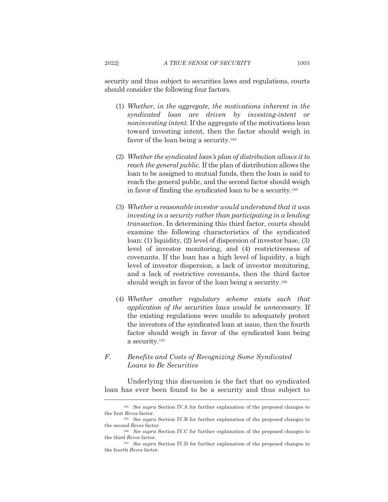security and thus subject to securities laws and regulations, courts should consider the following four factors.

- (1) Whether, in the aggregate, the motivations inherent in the syndicated loan are driven by investing-intent or noninvesting intent. If the aggregate of the motivations lean toward investing intent, then the factor should weigh in favor of the loan being a security.<sup>184</sup>
- (2) Whether the syndicated loan's plan of distribution allows it to reach the general public. If the plan of distribution allows the loan to be assigned to mutual funds, then the loan is said to reach the general public, and the second factor should weigh in favor of finding the syndicated loan to be a security.<sup>185</sup>
- (3) Whether a reasonable investor would understand that it was investing in a security rather than participating in a lending *transaction*. In determining this third factor, courts should examine the following characteristics of the syndicated  $\alpha$ . (1) liquidity, (2) level of dispersion of investor base, (3) level of investor monitoring, and (4) restrictiveness of covenants. If the loan has a high level of liquidity, a high level of investor dispersion, a lack of investor monitoring. and a lack of restrictive covenants, then the third factor should weigh in favor of the loan being a security.<sup>186</sup>
- (4) Whether another regulatory scheme exists such that application of the securities laws would be unnecessary. If the existing regulations were unable to adequately protect the investors of the syndicated loan at issue, then the fourth factor should weigh in favor of the syndicated loan being a security.<sup>187</sup>
- $F_{\cdot}$ Benefits and Costs of Recognizing Some Syndicated Loans to Be Securities

Underlying this discussion is the fact that no syndicated loan has ever been found to be a security and thus subject to

<sup>&</sup>lt;sup>184</sup> See supra Section IV.A for further explanation of the proposed changes to the first Reves factor.

<sup>&</sup>lt;sup>185</sup> See supra Section IV.B for further explanation of the proposed changes to the second  $Reves$  factor.

<sup>&</sup>lt;sup>186</sup> See supra Section IV.C for further explanation of the proposed changes to the third Reves factor.

<sup>&</sup>lt;sup>187</sup> See supra Section IV.D for further explanation of the proposed changes to the fourth Reves factor.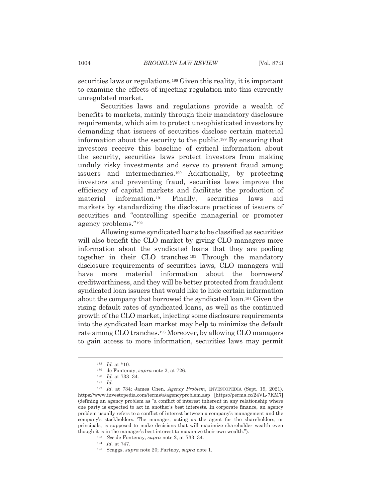securities laws or regulations.<sup>188</sup> Given this reality, it is important to examine the effects of injecting regulation into this currently unregulated market.

Securities laws and regulations provide a wealth of benefits to markets, mainly through their mandatory disclosure requirements, which aim to protect unsophisticated investors by demanding that issuers of securities disclose certain material information about the security to the public.<sup>189</sup> By ensuring that investors receive this baseline of critical information about the security, securities laws protect investors from making unduly risky investments and serve to prevent fraud among issuers and intermediaries.<sup>190</sup> Additionally, by protecting investors and preventing fraud, securities laws improve the efficiency of capital markets and facilitate the production of information.<sup>191</sup> Finally, securities material laws aid markets by standardizing the disclosure practices of issuers of securities and "controlling specific managerial or promoter agency problems."<sup>192</sup>

Allowing some syndicated loans to be classified as securities will also benefit the CLO market by giving CLO managers more information about the syndicated loans that they are pooling together in their CLO tranches.<sup>193</sup> Through the mandatory disclosure requirements of securities laws, CLO managers will have more material information about the borrowers' creditworthiness, and they will be better protected from fraudulent syndicated loan issuers that would like to hide certain information about the company that borrowed the syndicated loan.<sup>194</sup> Given the rising default rates of syndicated loans, as well as the continued growth of the CLO market, injecting some disclosure requirements into the syndicated loan market may help to minimize the default rate among CLO tranches.<sup>195</sup> Moreover, by allowing CLO managers to gain access to more information, securities laws may permit

 $188$  *Id.* at \*10.

<sup>&</sup>lt;sup>189</sup> de Fontenay, *supra* note 2, at 726.

 $190$  *Id.* at 733-34.

 $191$  *Id.* 

<sup>&</sup>lt;sup>192</sup> Id. at 734; James Chen, Agency Problem, INVESTOPEDIA (Sept. 19, 2021), https://www.investopedia.com/terms/a/agencyproblem.asp [https://perma.cc/24VL-7KM7] (defining an agency problem as "a conflict of interest inherent in any relationship where one party is expected to act in another's best interests. In corporate finance, an agency problem usually refers to a conflict of interest between a company's management and the company's stockholders. The manager, acting as the agent for the shareholders, or principals, is supposed to make decisions that will maximize shareholder wealth even though it is in the manager's best interest to maximize their own wealth.").

<sup>&</sup>lt;sup>193</sup> See de Fontenay, *supra* note 2, at 733–34.

 $194$  *Id.* at 747.

 $^{195}$  Scaggs, supra note 20; Partnoy, supra note 1.